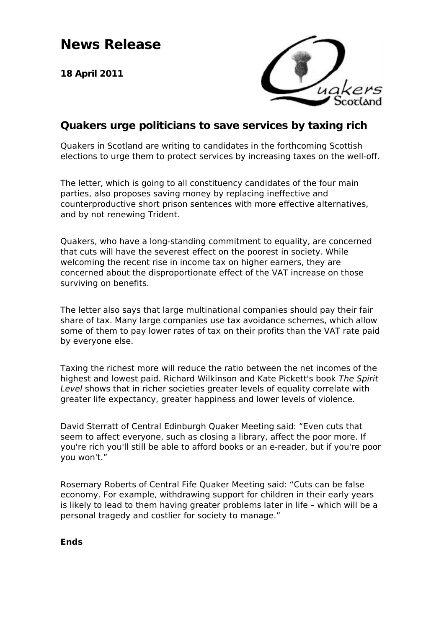# **News Release**

**18 April 2011**



### **Quakers urge politicians to save services by taxing rich**

Quakers in Scotland are writing to candidates in the forthcoming Scottish elections to urge them to protect services by increasing taxes on the well-off.

The letter, which is going to all constituency candidates of the four main parties, also proposes saving money by replacing ineffective and counterproductive short prison sentences with more effective alternatives, and by not renewing Trident.

Quakers, who have a long-standing commitment to equality, are concerned that cuts will have the severest effect on the poorest in society. While welcoming the recent rise in income tax on higher earners, they are concerned about the disproportionate effect of the VAT increase on those surviving on benefits.

The letter also says that large multinational companies should pay their fair share of tax. Many large companies use tax avoidance schemes, which allow some of them to pay lower rates of tax on their profits than the VAT rate paid by everyone else.

Taxing the richest more will reduce the ratio between the net incomes of the highest and lowest paid. Richard Wilkinson and Kate Pickett's book The Spirit Level shows that in richer societies greater levels of equality correlate with greater life expectancy, greater happiness and lower levels of violence.

David Sterratt of Central Edinburgh Quaker Meeting said: "Even cuts that seem to affect everyone, such as closing a library, affect the poor more. If you're rich you'll still be able to afford books or an e-reader, but if you're poor you won't."

Rosemary Roberts of Central Fife Quaker Meeting said: "Cuts can be false economy. For example, withdrawing support for children in their early years is likely to lead to them having greater problems later in life – which will be a personal tragedy and costlier for society to manage."

**Ends**